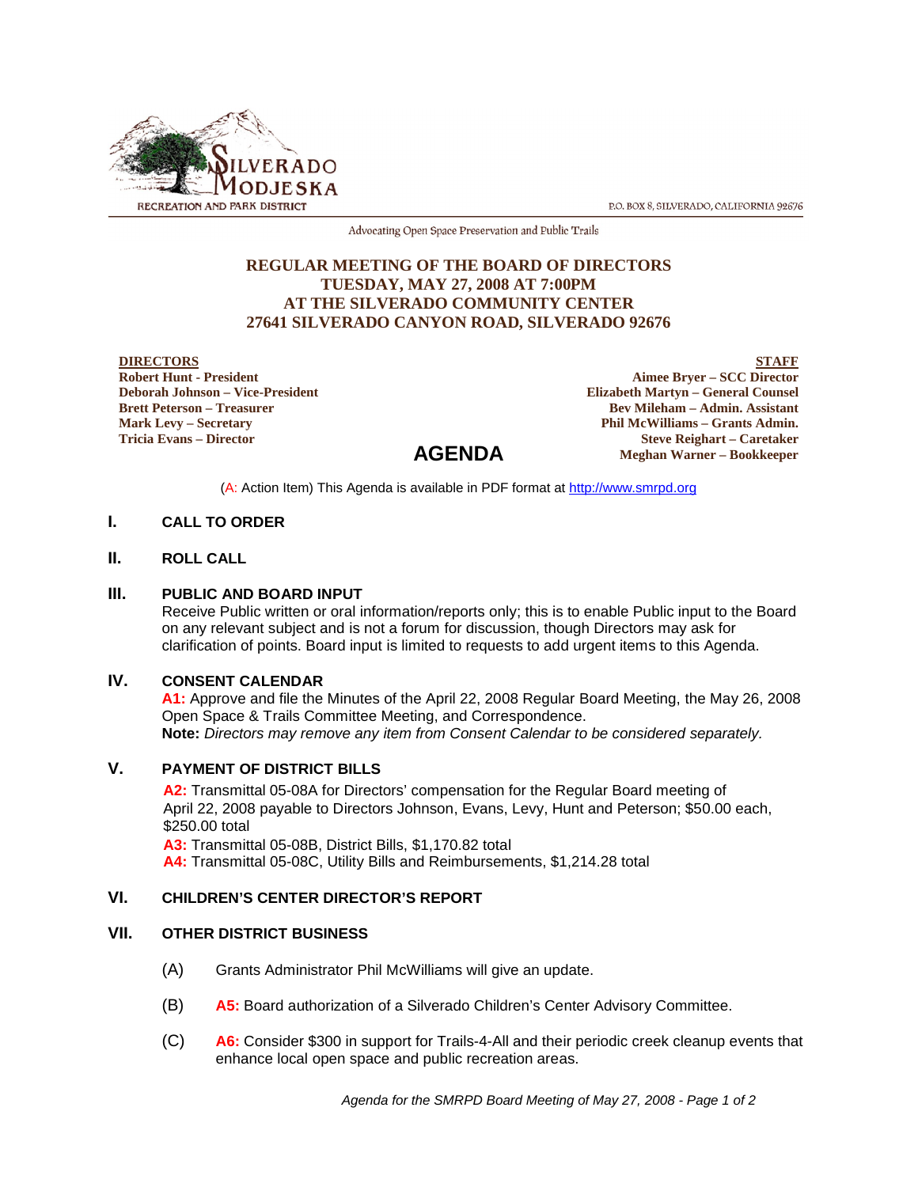

P.O. BOX 8, SILVERADO, CALIFORNIA 92676

Advocating Open Space Preservation and Public Trails

### **REGULAR MEETING OF THE BOARD OF DIRECTORS TUESDAY, MAY 27, 2008 AT 7:00PM AT THE SILVERADO COMMUNITY CENTER 27641 SILVERADO CANYON ROAD, SILVERADO 92676**

#### **DIRECTORS**

**Robert Hunt - President Deborah Johnson – Vice-President Brett Peterson – Treasurer Mark Levy – Secretary Tricia Evans – Director**

**STAFF Aimee Bryer – SCC Director Elizabeth Martyn – General Counsel Bev Mileham – Admin. Assistant Phil McWilliams – Grants Admin. Steve Reighart – Caretaker Meghan Warner – Bookkeeper**

(A: Action Item) This Agenda is available in PDF format at http://www.smrpd.org

**AGENDA**

## **I. CALL TO ORDER**

#### **II. ROLL CALL**

#### **III. PUBLIC AND BOARD INPUT**

Receive Public written or oral information/reports only; this is to enable Public input to the Board on any relevant subject and is not a forum for discussion, though Directors may ask for clarification of points. Board input is limited to requests to add urgent items to this Agenda.

#### **IV. CONSENT CALENDAR**

**A1:** Approve and file the Minutes of the April 22, 2008 Regular Board Meeting, the May 26, 2008 Open Space & Trails Committee Meeting, and Correspondence. **Note:** *Directors may remove any item from Consent Calendar to be considered separately.*

#### **V. PAYMENT OF DISTRICT BILLS**

**A2:** Transmittal 05-08A for Directors' compensation for the Regular Board meeting of April 22, 2008 payable to Directors Johnson, Evans, Levy, Hunt and Peterson; \$50.00 each, \$250.00 total

**A3:** Transmittal 05-08B, District Bills, \$1,170.82 total

**A4:** Transmittal 05-08C, Utility Bills and Reimbursements, \$1,214.28 total

### **VI. CHILDREN'S CENTER DIRECTOR'S REPORT**

### **VII. OTHER DISTRICT BUSINESS**

- (A) Grants Administrator Phil McWilliams will give an update.
- (B) **A5:** Board authorization of a Silverado Children's Center Advisory Committee.
- (C) **A6:** Consider \$300 in support for Trails-4-All and their periodic creek cleanup events that enhance local open space and public recreation areas.